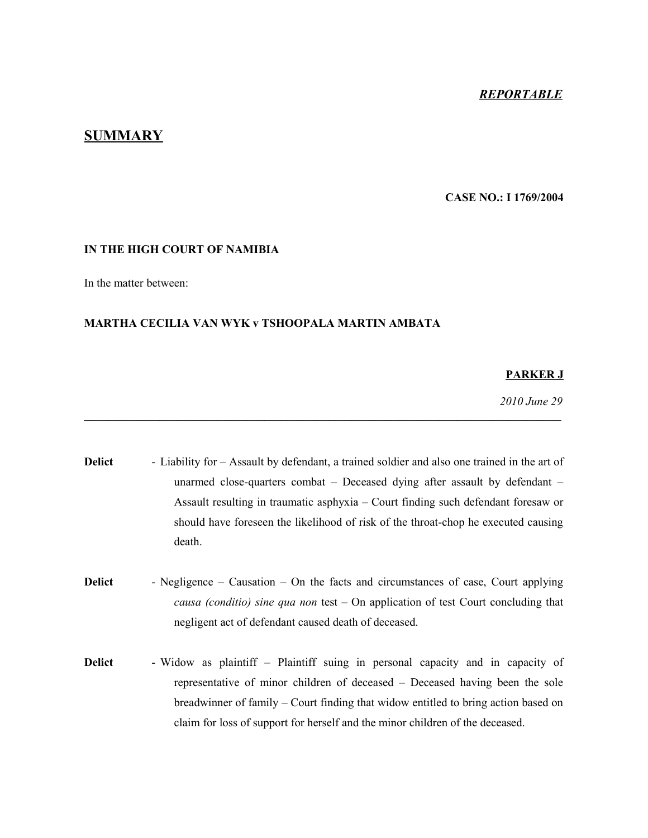## *REPORTABLE*

# **SUMMARY**

### **CASE NO.: I 1769/2004**

#### **IN THE HIGH COURT OF NAMIBIA**

In the matter between:

### **MARTHA CECILIA VAN WYK v TSHOOPALA MARTIN AMBATA**

#### **PARKER J**

*2010 June 29*

**Delict** - Liability for – Assault by defendant, a trained soldier and also one trained in the art of unarmed close-quarters combat – Deceased dying after assault by defendant – Assault resulting in traumatic asphyxia – Court finding such defendant foresaw or should have foreseen the likelihood of risk of the throat-chop he executed causing death.

**\_\_\_\_\_\_\_\_\_\_\_\_\_\_\_\_\_\_\_\_\_\_\_\_\_\_\_\_\_\_\_\_\_\_\_\_\_\_\_\_\_\_\_\_\_\_\_\_\_\_\_\_\_\_\_\_\_\_\_\_\_\_\_\_\_\_\_\_\_\_\_\_\_\_\_\_\_\_\_\_\_\_**

- **Delict** Negligence Causation On the facts and circumstances of case, Court applying *causa (conditio) sine qua non* test – On application of test Court concluding that negligent act of defendant caused death of deceased.
- **Delict** Widow as plaintiff Plaintiff suing in personal capacity and in capacity of representative of minor children of deceased – Deceased having been the sole breadwinner of family – Court finding that widow entitled to bring action based on claim for loss of support for herself and the minor children of the deceased.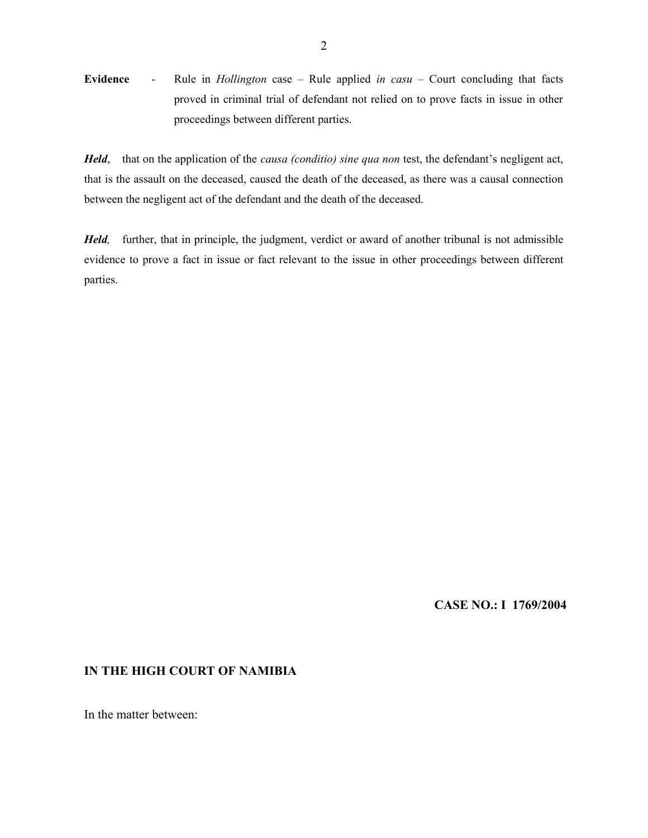**Evidence** - Rule in *Hollington* case – Rule applied *in casu* – Court concluding that facts proved in criminal trial of defendant not relied on to prove facts in issue in other proceedings between different parties.

*Held*, that on the application of the *causa (conditio) sine qua non* test, the defendant's negligent act, that is the assault on the deceased, caused the death of the deceased, as there was a causal connection between the negligent act of the defendant and the death of the deceased.

*Held,* further, that in principle, the judgment, verdict or award of another tribunal is not admissible evidence to prove a fact in issue or fact relevant to the issue in other proceedings between different parties.

## **CASE NO.: I 1769/2004**

### **IN THE HIGH COURT OF NAMIBIA**

In the matter between: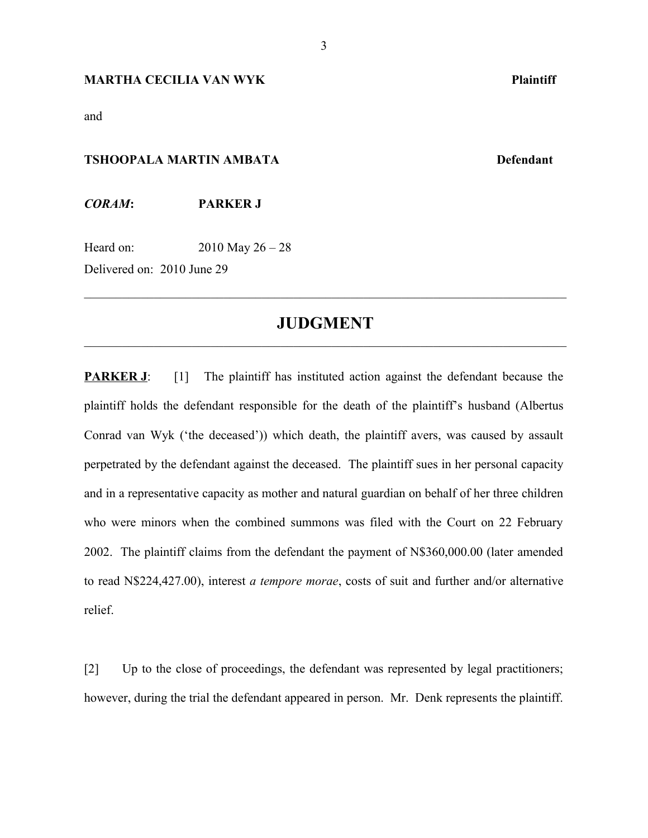#### **MARTHA CECILIA VAN WYK Plaintiff**

and

# **TSHOOPALA MARTIN AMBATA Defendant**

*CORAM***: PARKER J**

Heard on: 2010 May 26 – 28

Delivered on: 2010 June 29

# **JUDGMENT**  $\mathcal{L}_\mathcal{L} = \{ \mathcal{L}_\mathcal{L} = \{ \mathcal{L}_\mathcal{L} = \{ \mathcal{L}_\mathcal{L} = \{ \mathcal{L}_\mathcal{L} = \{ \mathcal{L}_\mathcal{L} = \{ \mathcal{L}_\mathcal{L} = \{ \mathcal{L}_\mathcal{L} = \{ \mathcal{L}_\mathcal{L} = \{ \mathcal{L}_\mathcal{L} = \{ \mathcal{L}_\mathcal{L} = \{ \mathcal{L}_\mathcal{L} = \{ \mathcal{L}_\mathcal{L} = \{ \mathcal{L}_\mathcal{L} = \{ \mathcal{L}_\mathcal{$

 $\mathcal{L}_\text{max}$  , and the contribution of the contribution of the contribution of the contribution of the contribution of the contribution of the contribution of the contribution of the contribution of the contribution of t

**PARKER J**: [1] The plaintiff has instituted action against the defendant because the plaintiff holds the defendant responsible for the death of the plaintiff's husband (Albertus Conrad van Wyk ('the deceased')) which death, the plaintiff avers, was caused by assault perpetrated by the defendant against the deceased. The plaintiff sues in her personal capacity and in a representative capacity as mother and natural guardian on behalf of her three children who were minors when the combined summons was filed with the Court on 22 February 2002. The plaintiff claims from the defendant the payment of N\$360,000.00 (later amended to read N\$224,427.00), interest *a tempore morae*, costs of suit and further and/or alternative relief.

[2] Up to the close of proceedings, the defendant was represented by legal practitioners; however, during the trial the defendant appeared in person. Mr. Denk represents the plaintiff.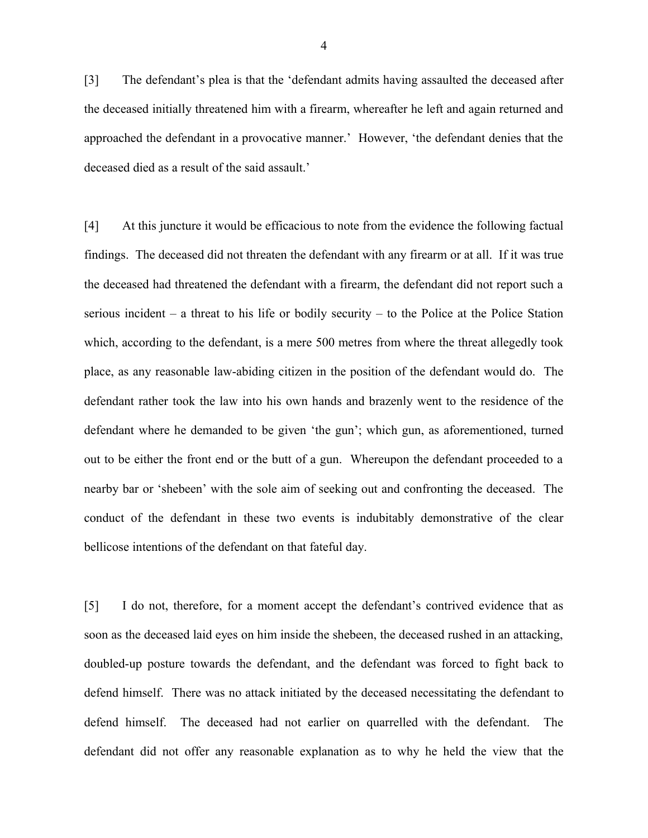[3] The defendant's plea is that the 'defendant admits having assaulted the deceased after the deceased initially threatened him with a firearm, whereafter he left and again returned and approached the defendant in a provocative manner.' However, 'the defendant denies that the deceased died as a result of the said assault.'

[4] At this juncture it would be efficacious to note from the evidence the following factual findings. The deceased did not threaten the defendant with any firearm or at all. If it was true the deceased had threatened the defendant with a firearm, the defendant did not report such a serious incident – a threat to his life or bodily security – to the Police at the Police Station which, according to the defendant, is a mere 500 metres from where the threat allegedly took place, as any reasonable law-abiding citizen in the position of the defendant would do. The defendant rather took the law into his own hands and brazenly went to the residence of the defendant where he demanded to be given 'the gun'; which gun, as aforementioned, turned out to be either the front end or the butt of a gun. Whereupon the defendant proceeded to a nearby bar or 'shebeen' with the sole aim of seeking out and confronting the deceased. The conduct of the defendant in these two events is indubitably demonstrative of the clear bellicose intentions of the defendant on that fateful day.

[5] I do not, therefore, for a moment accept the defendant's contrived evidence that as soon as the deceased laid eyes on him inside the shebeen, the deceased rushed in an attacking, doubled-up posture towards the defendant, and the defendant was forced to fight back to defend himself. There was no attack initiated by the deceased necessitating the defendant to defend himself. The deceased had not earlier on quarrelled with the defendant. The defendant did not offer any reasonable explanation as to why he held the view that the

4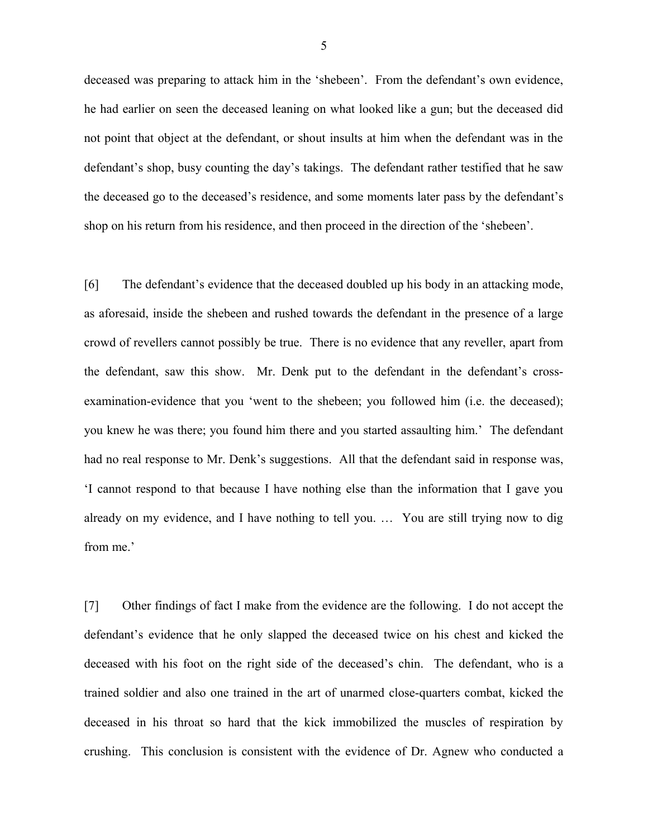deceased was preparing to attack him in the 'shebeen'. From the defendant's own evidence, he had earlier on seen the deceased leaning on what looked like a gun; but the deceased did not point that object at the defendant, or shout insults at him when the defendant was in the defendant's shop, busy counting the day's takings. The defendant rather testified that he saw the deceased go to the deceased's residence, and some moments later pass by the defendant's shop on his return from his residence, and then proceed in the direction of the 'shebeen'.

[6] The defendant's evidence that the deceased doubled up his body in an attacking mode, as aforesaid, inside the shebeen and rushed towards the defendant in the presence of a large crowd of revellers cannot possibly be true. There is no evidence that any reveller, apart from the defendant, saw this show. Mr. Denk put to the defendant in the defendant's crossexamination-evidence that you 'went to the shebeen; you followed him (i.e. the deceased); you knew he was there; you found him there and you started assaulting him.' The defendant had no real response to Mr. Denk's suggestions. All that the defendant said in response was, 'I cannot respond to that because I have nothing else than the information that I gave you already on my evidence, and I have nothing to tell you. … You are still trying now to dig from me.'

[7] Other findings of fact I make from the evidence are the following. I do not accept the defendant's evidence that he only slapped the deceased twice on his chest and kicked the deceased with his foot on the right side of the deceased's chin. The defendant, who is a trained soldier and also one trained in the art of unarmed close-quarters combat, kicked the deceased in his throat so hard that the kick immobilized the muscles of respiration by crushing. This conclusion is consistent with the evidence of Dr. Agnew who conducted a

5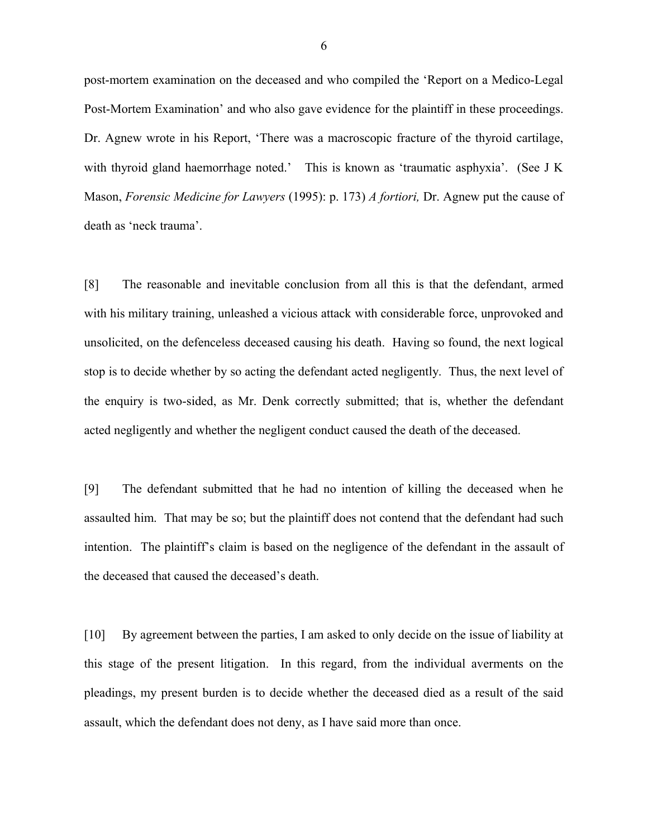post-mortem examination on the deceased and who compiled the 'Report on a Medico-Legal Post-Mortem Examination' and who also gave evidence for the plaintiff in these proceedings. Dr. Agnew wrote in his Report, 'There was a macroscopic fracture of the thyroid cartilage, with thyroid gland haemorrhage noted.' This is known as 'traumatic asphyxia'. (See J K Mason, *Forensic Medicine for Lawyers* (1995): p. 173) *A fortiori,* Dr. Agnew put the cause of death as 'neck trauma'.

[8] The reasonable and inevitable conclusion from all this is that the defendant, armed with his military training, unleashed a vicious attack with considerable force, unprovoked and unsolicited, on the defenceless deceased causing his death. Having so found, the next logical stop is to decide whether by so acting the defendant acted negligently. Thus, the next level of the enquiry is two-sided, as Mr. Denk correctly submitted; that is, whether the defendant acted negligently and whether the negligent conduct caused the death of the deceased.

[9] The defendant submitted that he had no intention of killing the deceased when he assaulted him. That may be so; but the plaintiff does not contend that the defendant had such intention. The plaintiff's claim is based on the negligence of the defendant in the assault of the deceased that caused the deceased's death.

[10] By agreement between the parties, I am asked to only decide on the issue of liability at this stage of the present litigation. In this regard, from the individual averments on the pleadings, my present burden is to decide whether the deceased died as a result of the said assault, which the defendant does not deny, as I have said more than once.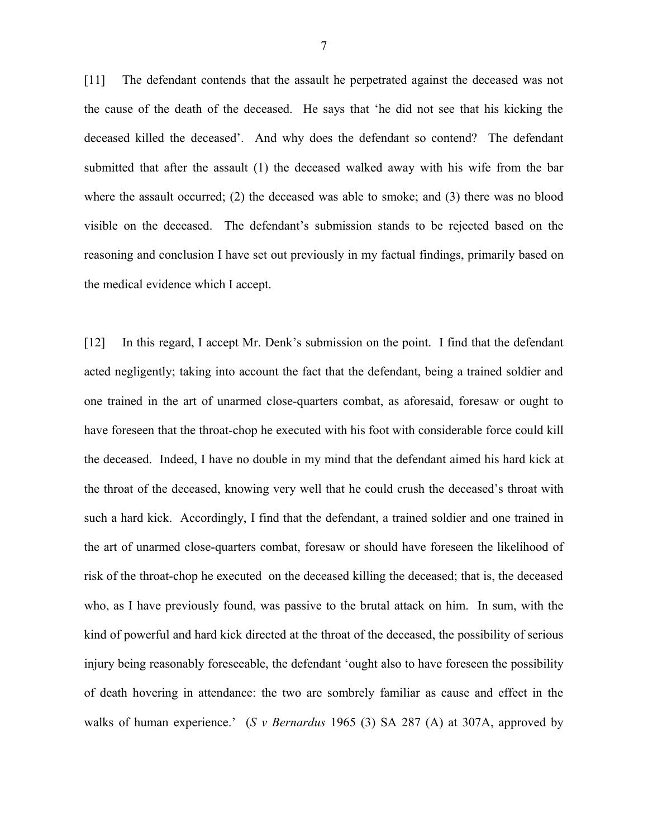[11] The defendant contends that the assault he perpetrated against the deceased was not the cause of the death of the deceased. He says that 'he did not see that his kicking the deceased killed the deceased'. And why does the defendant so contend? The defendant submitted that after the assault (1) the deceased walked away with his wife from the bar where the assault occurred; (2) the deceased was able to smoke; and (3) there was no blood visible on the deceased. The defendant's submission stands to be rejected based on the reasoning and conclusion I have set out previously in my factual findings, primarily based on the medical evidence which I accept.

[12] In this regard, I accept Mr. Denk's submission on the point. I find that the defendant acted negligently; taking into account the fact that the defendant, being a trained soldier and one trained in the art of unarmed close-quarters combat, as aforesaid, foresaw or ought to have foreseen that the throat-chop he executed with his foot with considerable force could kill the deceased. Indeed, I have no double in my mind that the defendant aimed his hard kick at the throat of the deceased, knowing very well that he could crush the deceased's throat with such a hard kick. Accordingly, I find that the defendant, a trained soldier and one trained in the art of unarmed close-quarters combat, foresaw or should have foreseen the likelihood of risk of the throat-chop he executed on the deceased killing the deceased; that is, the deceased who, as I have previously found, was passive to the brutal attack on him. In sum, with the kind of powerful and hard kick directed at the throat of the deceased, the possibility of serious injury being reasonably foreseeable, the defendant 'ought also to have foreseen the possibility of death hovering in attendance: the two are sombrely familiar as cause and effect in the walks of human experience.' (*S v Bernardus* 1965 (3) SA 287 (A) at 307A, approved by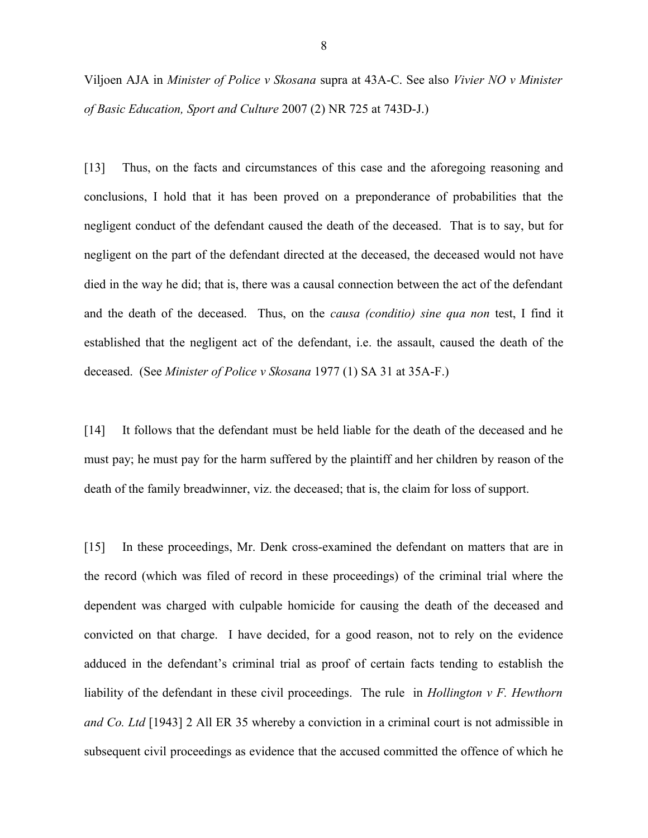Viljoen AJA in *Minister of Police v Skosana* supra at 43A-C. See also *Vivier NO v Minister of Basic Education, Sport and Culture* 2007 (2) NR 725 at 743D-J.)

[13] Thus, on the facts and circumstances of this case and the aforegoing reasoning and conclusions, I hold that it has been proved on a preponderance of probabilities that the negligent conduct of the defendant caused the death of the deceased. That is to say, but for negligent on the part of the defendant directed at the deceased, the deceased would not have died in the way he did; that is, there was a causal connection between the act of the defendant and the death of the deceased. Thus, on the *causa (conditio) sine qua non* test, I find it established that the negligent act of the defendant, i.e. the assault, caused the death of the deceased. (See *Minister of Police v Skosana* 1977 (1) SA 31 at 35A-F.)

[14] It follows that the defendant must be held liable for the death of the deceased and he must pay; he must pay for the harm suffered by the plaintiff and her children by reason of the death of the family breadwinner, viz. the deceased; that is, the claim for loss of support.

[15] In these proceedings, Mr. Denk cross-examined the defendant on matters that are in the record (which was filed of record in these proceedings) of the criminal trial where the dependent was charged with culpable homicide for causing the death of the deceased and convicted on that charge. I have decided, for a good reason, not to rely on the evidence adduced in the defendant's criminal trial as proof of certain facts tending to establish the liability of the defendant in these civil proceedings. The rule in *Hollington v F. Hewthorn and Co. Ltd* [1943] 2 All ER 35 whereby a conviction in a criminal court is not admissible in subsequent civil proceedings as evidence that the accused committed the offence of which he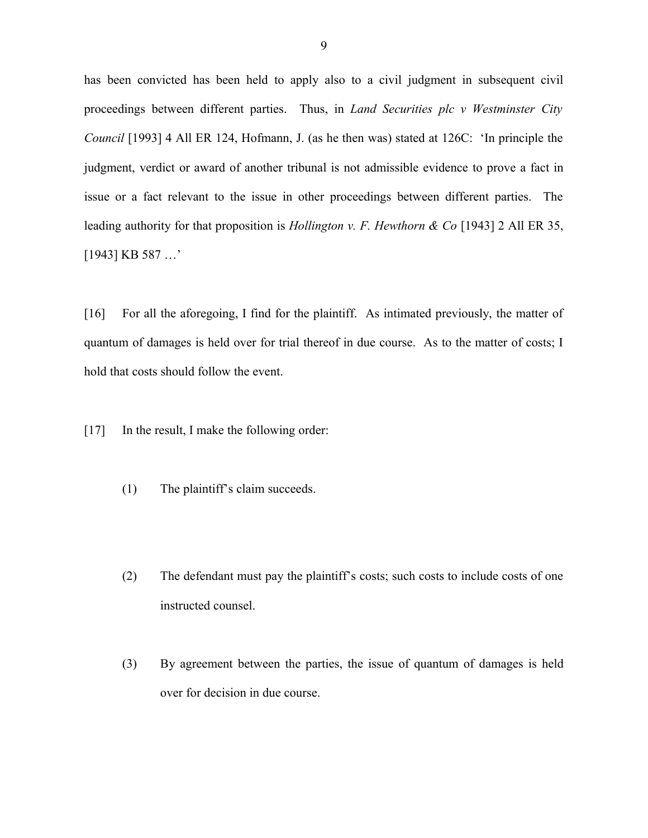has been convicted has been held to apply also to a civil judgment in subsequent civil proceedings between different parties. Thus, in *Land Securities plc v Westminster City Council* [1993] 4 All ER 124, Hofmann, J. (as he then was) stated at 126C: 'In principle the judgment, verdict or award of another tribunal is not admissible evidence to prove a fact in issue or a fact relevant to the issue in other proceedings between different parties. The leading authority for that proposition is *Hollington v. F. Hewthorn & Co* [1943] 2 All ER 35, [1943] KB 587 …'

[16] For all the aforegoing, I find for the plaintiff. As intimated previously, the matter of quantum of damages is held over for trial thereof in due course. As to the matter of costs; I hold that costs should follow the event.

[17] In the result, I make the following order:

- (1) The plaintiff's claim succeeds.
- (2) The defendant must pay the plaintiff's costs; such costs to include costs of one instructed counsel.
- (3) By agreement between the parties, the issue of quantum of damages is held over for decision in due course.